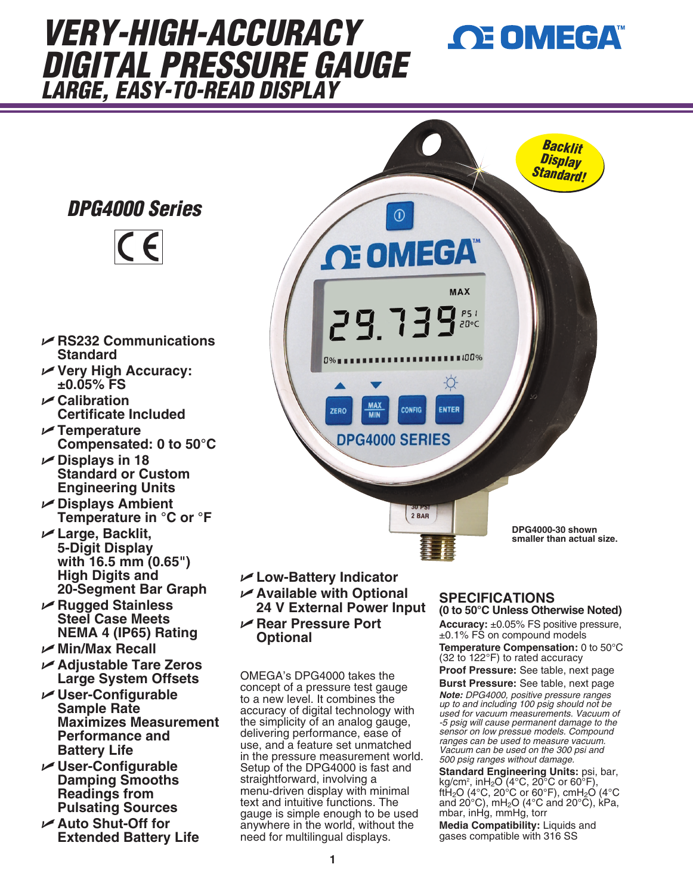# *VERY-HIGH-ACCURACY DIGITAL PRESSURE GAUGE LARGE, EASY-TO-READ DISPLAY*

*DPG4000 Series*



- U **RS232 Communications Standard**
- U **Very High Accuracy: ±0.05% FS**
- U **Calibration Certificate Included**
- U **Temperature Compensated: 0 to 50°C**
- U **Displays in 18 Standard or Custom Engineering Units**
- U **Displays Ambient Temperature in °C or °F**
- U **Large, Backlit, 5-Digit Display with 16.5 mm (0.65") High Digits and 20-Segment Bar Graph**
- U **Rugged Stainless Steel Case Meets NEMA 4 (IP65) Rating**
- U **Min/Max Recall**
- U **Adjustable Tare Zeros Large System Offsets**
- U **User-Configurable Sample Rate Maximizes Measurement Performance and Battery Life**
- U **User-Configurable Damping Smooths Readings from Pulsating Sources**
- U **Auto Shut-Off for Extended Battery Life**



- U **Low-Battery Indicator** U **Available with Optional**
- **24 V External Power Input** U **Rear Pressure Port**
- **Optional**

OMEGA's DPG4000 takes the concept of a pressure test gauge to a new level. It combines the accuracy of digital technology with the simplicity of an analog gauge, delivering performance, ease of use, and a feature set unmatched in the pressure measurement world. Setup of the DPG4000 is fast and straightforward, involving a menu-driven display with minimal text and intuitive functions. The gauge is simple enough to be used anywhere in the world, without the need for multilingual displays.

### **SPECIFICATIONS (0 to 50°C Unless Otherwise Noted)**

**Accuracy:** ±0.05% FS positive pressure,  $±0.1\%$  FS on compound models **Temperature Compensation:** 0 to 50°C

**OE OMEGA** 

(32 to 122°F) to rated accuracy **Proof Pressure:** See table, next page

**Burst Pressure:** See table, next page

*Note: DPG4000, positive pressure ranges up to and including 100 psig should not be used for vacuum measurements. Vacuum of -5 psig will cause permanent damage to the sensor on low pressue models. Compound ranges can be used to measure vacuum. Vacuum can be used on the 300 psi and 500 psig ranges without damage.*

**Standard Engineering Units:** psi, bar, kg/cm2 , inH2O (4°C, 20°C or 60°F), ftH<sub>2</sub>O (4°C, 20°C or 60°F), cmH<sub>2</sub>O (4°C and 20 $\degree$ C), mH<sub>2</sub>O (4 $\degree$ C and 20 $\degree$ C), kPa, mbar, inHg, mmHg, torr

**Media Compatibility:** Liquids and gases compatible with 316 SS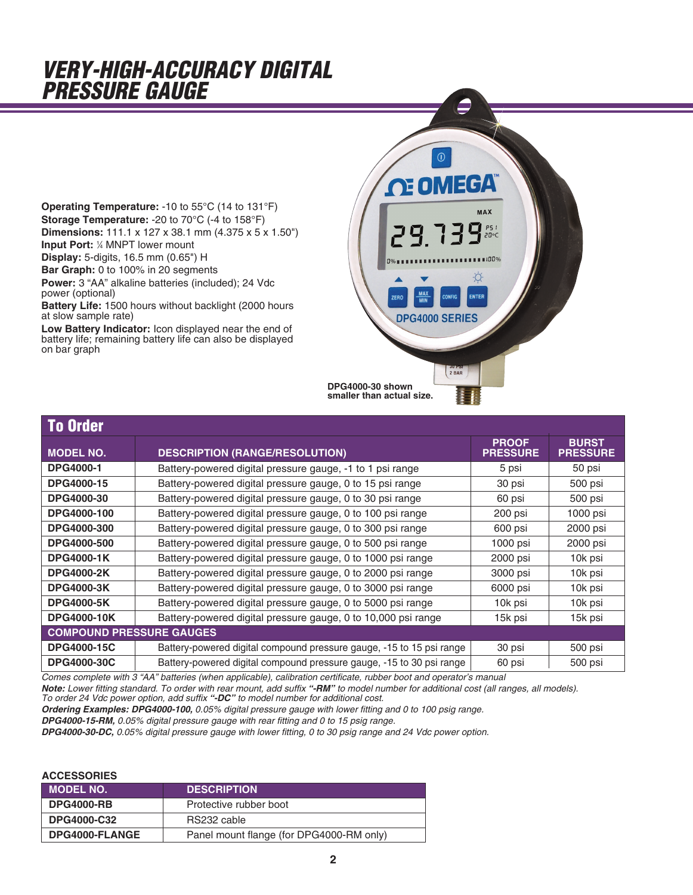## *VERY-HIGH-ACCURACY DIGITAL PRESSURE GAUGE*

**Operating Temperature:** -10 to 55°C (14 to 131°F) **Storage Temperature:** -20 to 70°C (-4 to 158°F) **Dimensions:** 111.1 x 127 x 38.1 mm (4.375 x 5 x 1.50") **Input Port:** 1/4 MNPT lower mount

**Display:** 5-digits, 16.5 mm (0.65") H

**Bar Graph:** 0 to 100% in 20 segments

**Power:** 3 "AA" alkaline batteries (included); 24 Vdc power (optional)

**Battery Life:** 1500 hours without backlight (2000 hours at slow sample rate)

**Low Battery Indicator:** Icon displayed near the end of battery life; remaining battery life can also be displayed on bar graph



| <b>To Order</b>                 |                                                                      |                                 |                                 |  |  |  |  |  |  |
|---------------------------------|----------------------------------------------------------------------|---------------------------------|---------------------------------|--|--|--|--|--|--|
| <b>MODEL NO.</b>                | <b>DESCRIPTION (RANGE/RESOLUTION)</b>                                | <b>PROOF</b><br><b>PRESSURE</b> | <b>BURST</b><br><b>PRESSURE</b> |  |  |  |  |  |  |
| <b>DPG4000-1</b>                | Battery-powered digital pressure gauge, -1 to 1 psi range            | 5 psi                           | 50 psi                          |  |  |  |  |  |  |
| <b>DPG4000-15</b>               | Battery-powered digital pressure gauge, 0 to 15 psi range            | 30 psi                          | 500 psi                         |  |  |  |  |  |  |
| <b>DPG4000-30</b>               | Battery-powered digital pressure gauge, 0 to 30 psi range            | 60 psi                          | 500 psi                         |  |  |  |  |  |  |
| DPG4000-100                     | Battery-powered digital pressure gauge, 0 to 100 psi range           | 200 psi                         | 1000 psi                        |  |  |  |  |  |  |
| DPG4000-300                     | Battery-powered digital pressure gauge, 0 to 300 psi range           | 600 psi                         | 2000 psi                        |  |  |  |  |  |  |
| DPG4000-500                     | Battery-powered digital pressure gauge, 0 to 500 psi range           | 1000 psi                        | 2000 psi                        |  |  |  |  |  |  |
| <b>DPG4000-1K</b>               | Battery-powered digital pressure gauge, 0 to 1000 psi range          | 2000 psi                        | 10k psi                         |  |  |  |  |  |  |
| <b>DPG4000-2K</b>               | Battery-powered digital pressure gauge, 0 to 2000 psi range          | 3000 psi                        | 10k psi                         |  |  |  |  |  |  |
| <b>DPG4000-3K</b>               | Battery-powered digital pressure gauge, 0 to 3000 psi range          | 6000 psi                        | 10k psi                         |  |  |  |  |  |  |
| <b>DPG4000-5K</b>               | Battery-powered digital pressure gauge, 0 to 5000 psi range          | 10k psi                         | 10k psi                         |  |  |  |  |  |  |
| <b>DPG4000-10K</b>              | Battery-powered digital pressure gauge, 0 to 10,000 psi range        | 15k psi                         | 15k psi                         |  |  |  |  |  |  |
| <b>COMPOUND PRESSURE GAUGES</b> |                                                                      |                                 |                                 |  |  |  |  |  |  |
| <b>DPG4000-15C</b>              | Battery-powered digital compound pressure gauge, -15 to 15 psi range | 30 psi                          | 500 psi                         |  |  |  |  |  |  |
| <b>DPG4000-30C</b>              | Battery-powered digital compound pressure gauge, -15 to 30 psi range | 60 psi                          | 500 psi                         |  |  |  |  |  |  |

*Comes complete with 3 "AA" batteries (when applicable), calibration certificate, rubber boot and operator's manual*

*Note: Lower fitting standard. To order with rear mount, add suffix "-RM" to model number for additional cost (all ranges, all models).*

*To order 24 Vdc power option, add suffix "-DC" to model number for additional cost.*

*Ordering Examples: DPG4000-100, 0.05% digital pressure gauge with lower fitting and 0 to 100 psig range.*

*DPG4000-15-RM, 0.05% digital pressure gauge with rear fitting and 0 to 15 psig range.*

*DPG4000-30-DC, 0.05% digital pressure gauge with lower fitting, 0 to 30 psig range and 24 Vdc power option.*

#### **ACCESSORIES**

| .                  |                                          |  |  |  |  |  |
|--------------------|------------------------------------------|--|--|--|--|--|
| <b>MODEL NO.</b>   | <b>DESCRIPTION</b>                       |  |  |  |  |  |
| <b>DPG4000-RB</b>  | Protective rubber boot                   |  |  |  |  |  |
| <b>DPG4000-C32</b> | RS232 cable                              |  |  |  |  |  |
| DPG4000-FLANGE     | Panel mount flange (for DPG4000-RM only) |  |  |  |  |  |